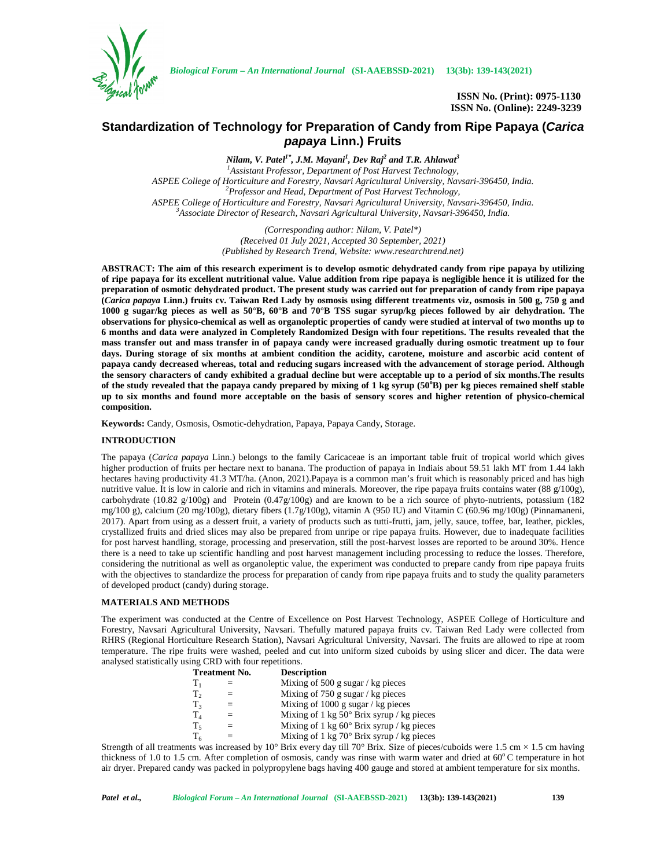

*Biological Forum – An International Journal* **(SI-AAEBSSD-2021) 13(3b): 139-143(2021)**

**ISSN No. (Print): 0975-1130 ISSN No. (Online): 2249-3239**

# **Standardization of Technology for Preparation of Candy from Ripe Papaya (***Carica papaya* **Linn.) Fruits**

*Nilam, V. Patel1\* , J.M. Mayani<sup>1</sup> , Dev Raj<sup>2</sup> and T.R. Ahlawat<sup>3</sup> <sup>1</sup>Assistant Professor, Department of Post Harvest Technology, ASPEE College of Horticulture and Forestry, Navsari Agricultural University, Navsari-396450, India. <sup>2</sup>Professor and Head, Department of Post Harvest Technology,* ASPEE College of Horticulture and Forestry, Navsari Agricultural University, Navsari-396450, India.<br><sup>3</sup>Associate Director of Research, Navsari Agricultural University, Navsari-396450, India.

> *(Corresponding author: Nilam, V. Patel\*) (Received 01 July 2021, Accepted 30 September, 2021) (Published by Research Trend, Website: <www.researchtrend.net>)*

**ABSTRACT: The aim of this research experiment is to develop osmotic dehydrated candy from ripe papaya by utilizing of ripe papaya for its excellent nutritional value. Value addition from ripe papaya is negligible hence it is utilized for the preparation of osmotic dehydrated product. The present study was carried out for preparation of candy from ripe papaya (***Carica papaya* **Linn.) fruits cv. Taiwan Red Lady by osmosis using different treatments viz, osmosis in 500 g, 750 g and 1000 g sugar/kg pieces as well as 50°B, 60°B and 70°B TSS sugar syrup/kg pieces followed by air dehydration. The observations for physico-chemical as well as organoleptic properties of candy were studied at interval of two months up to 6 months and data were analyzed in Completely Randomized Design with four repetitions. The results revealed that the mass transfer out and mass transfer in of papaya candy were increased gradually during osmotic treatment up to four days. During storage of six months at ambient condition the acidity, carotene, moisture and ascorbic acid content of papaya candy decreased whereas, total and reducing sugars increased with the advancement of storage period. Although the sensory characters of candy exhibited a gradual decline but were acceptable up to a period of six months.The results of the study revealed that the papaya candy prepared by mixing of 1 kg syrup (50<sup>o</sup>B) per kg pieces remained shelf stable up to six months and found more acceptable on the basis of sensory scores and higher retention of physico-chemical composition.**

**Keywords:** Candy, Osmosis, Osmotic-dehydration, Papaya, Papaya Candy, Storage.

# **INTRODUCTION**

The papaya (*Carica papaya* Linn.) belongs to the family Caricaceae is an important table fruit of tropical world which gives higher production of fruits per hectare next to banana. The production of papaya in Indiais about 59.51 lakh MT from 1.44 lakh hectares having productivity 41.3 MT/ha. (Anon, 2021).Papaya is a common man's fruit which is reasonably priced and has high nutritive value. It is low in calorie and rich in vitamins and minerals. Moreover, the ripe papaya fruits contains water (88  $g/100g$ ), carbohydrate (10.82 g/100g) and Protein (0.47g/100g) and are known to be a rich source of phyto-nutrients, potassium (182 mg/100 g), calcium (20 mg/100g), dietary fibers (1.7g/100g), vitamin A (950 IU) and Vitamin C (60.96 mg/100g) (Pinnamaneni, 2017). Apart from using as a dessert fruit, a variety of products such as tutti-frutti, jam, jelly, sauce, toffee, bar, leather, pickles, crystallized fruits and dried slices may also be prepared from unripe or ripe papaya fruits. However, due to inadequate facilities for post harvest handling, storage, processing and preservation, still the post-harvest losses are reported to be around 30%. Hence there is a need to take up scientific handling and post harvest management including processing to reduce the losses. Therefore, considering the nutritional as well as organoleptic value, the experiment was conducted to prepare candy from ripe papaya fruits with the objectives to standardize the process for preparation of candy from ripe papaya fruits and to study the quality parameters of developed product (candy) during storage.

### **MATERIALS AND METHODS**

The experiment was conducted at the Centre of Excellence on Post Harvest Technology, ASPEE College of Horticulture and Forestry, Navsari Agricultural University, Navsari. Thefully matured papaya fruits cv. Taiwan Red Lady were collected from RHRS (Regional Horticulture Research Station), Navsari Agricultural University, Navsari. The fruits are allowed to ripe at room temperature. The ripe fruits were washed, peeled and cut into uniform sized cuboids by using slicer and dicer. The data were analysed statistically using CRD with four repetitions.

|                | <b>Treatment No.</b> | <b>Description</b>                                        |
|----------------|----------------------|-----------------------------------------------------------|
| $\rm T_1$      |                      | Mixing of 500 g sugar $/\text{kg pieces}$                 |
| T <sub>2</sub> |                      | Mixing of 750 g sugar / kg pieces                         |
| $T_3$          |                      | Mixing of 1000 g sugar / kg pieces                        |
| $T_4$          |                      | Mixing of 1 kg $50^{\circ}$ Brix syrup / kg pieces        |
| $T_5$          |                      | Mixing of 1 kg $60^\circ$ Brix syrup / kg pieces          |
| $T_6$          |                      | Mixing of $1 \text{ kg } 70^\circ$ Brix syrup / kg pieces |

Strength of all treatments was increased by 10 $^{\circ}$  Brix every day till 70 $^{\circ}$  Brix. Size of pieces/cuboids were 1.5 cm  $\times$  1.5 cm having thickness of 1.0 to 1.5 cm. After completion of osmosis, candy was rinse with warm water and dried at  $60^{\circ}$ C temperature in hot air dryer. Prepared candy was packed in polypropylene bags having 400 gauge and stored at ambient temperature for six months.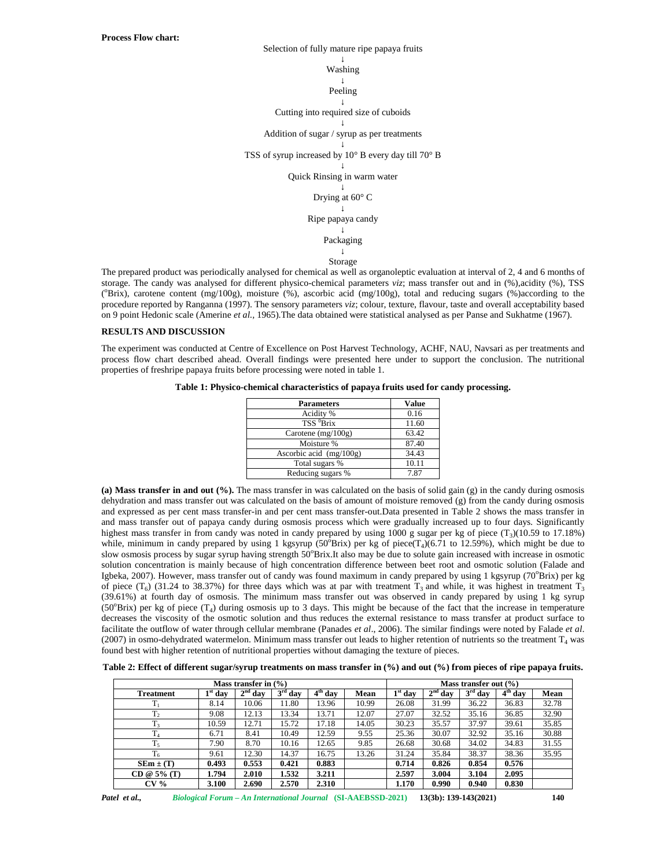Washing

# Peeling

#### Cutting into required size of cuboids

# Addition of sugar / syrup as per treatments

### TSS of syrup increased by 10° B every day till 70° B

#### Quick Rinsing in warm water

#### Drying at 60° C

# Ripe papaya candy

# Packaging

### Storage

The prepared product was periodically analysed for chemical as well as organoleptic evaluation at interval of 2, 4 and 6 months of storage. The candy was analysed for different physico-chemical parameters *viz*; mass transfer out and in (%),acidity (%), TSS ( $\text{Brix}$ ), carotene content (mg/100g), moisture (%), ascorbic acid (mg/100g), total and reducing sugars (%)according to the procedure reported by Ranganna (1997). The sensory parameters *viz*; colour, texture, flavour, taste and overall acceptability based on 9 point Hedonic scale (Amerine *et al.,* 1965).The data obtained were statistical analysed as per Panse and Sukhatme (1967).

# **RESULTS AND DISCUSSION**

The experiment was conducted at Centre of Excellence on Post Harvest Technology, ACHF, NAU, Navsari as per treatments and process flow chart described ahead. Overall findings were presented here under to support the conclusion. The nutritional properties of freshripe papaya fruits before processing were noted in table 1.

# **Table 1: Physico-chemical characteristics of papaya fruits used for candy processing.**

| <b>Parameters</b>         | Value |
|---------------------------|-------|
| Acidity %                 | 0.16  |
| TSS <sup>0</sup> Brix     | 11.60 |
| Carotene $(mg/100g)$      | 63.42 |
| Moisture %                | 87.40 |
| Ascorbic acid $(mg/100g)$ | 34.43 |
| Total sugars %            | 10.11 |
| Reducing sugars %         | 7.87  |

**(a) Mass transfer in and out (%).** The mass transfer in was calculated on the basis of solid gain (g) in the candy during osmosis dehydration and mass transfer out was calculated on the basis of amount of moisture removed (g) from the candy during osmosis and expressed as per cent mass transfer-in and per cent mass transfer-out.Data presented in Table 2 shows the mass transfer in and mass transfer out of papaya candy during osmosis process which were gradually increased up to four days. Significantly highest mass transfer in from candy was noted in candy prepared by using  $1000$  g sugar per kg of piece  $(T<sub>3</sub>)(10.59$  to  $17.18\%)$ while, minimum in candy prepared by using 1 kgsyrup (50 $\textdegree$ Brix) per kg of piece(T<sub>4</sub>)(6.71 to 12.59%), which might be due to slow osmosis process by sugar syrup having strength 50°Brix.It also may be due to solute gain increased with increase in osmotic solution concentration is mainly because of high concentration difference between beet root and osmotic solution (Falade and Igbeka, 2007). However, mass transfer out of candy was found maximum in candy prepared by using 1 kgsyrup ( $70^{\circ}$ Brix) per kg of piece  $(T_6)$  (31.24 to 38.37%) for three days which was at par with treatment  $T_3$  and while, it was highest in treatment  $T_3$ (39.61%) at fourth day of osmosis. The minimum mass transfer out was observed in candy prepared by using 1 kg syrup (50 $\textdegree$ Brix) per kg of piece (T<sub>4</sub>) during osmosis up to 3 days. This might be because of the fact that the increase in temperature decreases the viscosity of the osmotic solution and thus reduces the external resistance to mass transfer at product surface to facilitate the outflow of water through cellular membrane (Panades *et al*., 2006). The similar findings were noted by Falade *et al*.  $(2007)$  in osmo-dehydrated watermelon. Minimum mass transfer out leads to higher retention of nutrients so the treatment  $T_4$  was found best with higher retention of nutritional properties without damaging the texture of pieces.

**Table 2: Effect of different sugar/syrup treatments on mass transfer in (%) and out (%) from pieces of ripe papaya fruits.**

|                  |           | Mass transfer in $(\% )$ |           |                                |       | Mass transfer out $(\% )$ |           |           |           |       |
|------------------|-----------|--------------------------|-----------|--------------------------------|-------|---------------------------|-----------|-----------|-----------|-------|
| <b>Treatment</b> | $1st$ day | $2^{nd}$ day             | $3rd$ day | $\overline{4}^{\text{th}}$ day | Mean  | $1st$ day                 | $2nd$ day | $3rd$ day | $4th$ day | Mean  |
| $T_1$            | 8.14      | 10.06                    | 11.80     | 13.96                          | 10.99 | 26.08                     | 31.99     | 36.22     | 36.83     | 32.78 |
| T <sub>2</sub>   | 9.08      | 12.13                    | 13.34     | 13.71                          | 12.07 | 27.07                     | 32.52     | 35.16     | 36.85     | 32.90 |
| T <sub>3</sub>   | 10.59     | 12.71                    | 15.72     | 17.18                          | 14.05 | 30.23                     | 35.57     | 37.97     | 39.61     | 35.85 |
| T <sub>4</sub>   | 6.71      | 8.41                     | 10.49     | 12.59                          | 9.55  | 25.36                     | 30.07     | 32.92     | 35.16     | 30.88 |
| $\mathbf{r}$     | 7.90      | 8.70                     | 10.16     | 12.65                          | 9.85  | 26.68                     | 30.68     | 34.02     | 34.83     | 31.55 |
| $T_6$            | 9.61      | 12.30                    | 14.37     | 16.75                          | 13.26 | 31.24                     | 35.84     | 38.37     | 38.36     | 35.95 |
| $SEm \pm (T)$    | 0.493     | 0.553                    | 0.421     | 0.883                          |       | 0.714                     | 0.826     | 0.854     | 0.576     |       |
| $CD @ 5\% (T)$   | 1.794     | 2.010                    | 1.532     | 3.211                          |       | 2.597                     | 3.004     | 3.104     | 2.095     |       |
| CV <sub>0</sub>  | 3.100     | 2.690                    | 2.570     | 2.310                          |       | 1.170                     | 0.990     | 0.940     | 0.830     |       |

*Patel et al., Biological Forum – An International Journal* **(SI-AAEBSSD-2021) 13(3b): 139-143(2021) 140**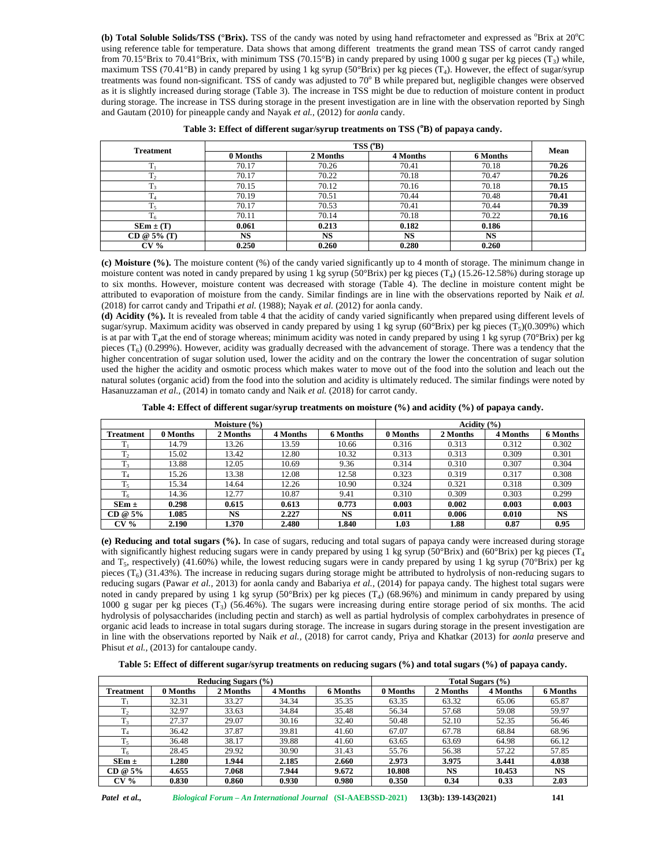**(b) Total Soluble Solids/TSS** ( ${}^{\circ}$ **Brix).** TSS of the candy was noted by using hand refractometer and expressed as  ${}^{\circ}$ Brix at 20 ${}^{\circ}$ C using reference table for temperature. Data shows that among different treatments the grand mean TSS of carrot candy ranged from 70.15°Brix to 70.41°Brix, with minimum TSS (70.15°B) in candy prepared by using 1000 g sugar per kg pieces ( $T_3$ ) while, maximum TSS (70.41 $\textdegree$ B) in candy prepared by using 1 kg syrup (50 $\textdegree$ Brix) per kg pieces (T<sub>4</sub>). However, the effect of sugar/syrup treatments was found non-significant. TSS of candy was adjusted to  $70^{\circ}$  B while prepared but, negligible changes were observed as it is slightly increased during storage (Table 3). The increase in TSS might be due to reduction of moisture content in product during storage. The increase in TSS during storage in the present investigation are in line with the observation reported by Singh and Gautam (2010) for pineapple candy and Nayak *et al.,* (2012) for *aonla* candy.

| <b>Treatment</b> |           |           | $TSS(^oB)$ |           | Mean  |
|------------------|-----------|-----------|------------|-----------|-------|
|                  | 0 Months  | 2 Months  | 4 Months   | 6 Months  |       |
|                  | 70.17     | 70.26     | 70.41      | 70.18     | 70.26 |
| T <sub>2</sub>   | 70.17     | 70.22     | 70.18      | 70.47     | 70.26 |
| $T_3$            | 70.15     | 70.12     | 70.16      | 70.18     | 70.15 |
|                  | 70.19     | 70.51     | 70.44      | 70.48     | 70.41 |
| $T_5$            | 70.17     | 70.53     | 70.41      | 70.44     | 70.39 |
| 16               | 70.11     | 70.14     | 70.18      | 70.22     | 70.16 |
| $SEM \pm (T)$    | 0.061     | 0.213     | 0.182      | 0.186     |       |
| CD @ $5\%$ (T)   | <b>NS</b> | <b>NS</b> | <b>NS</b>  | <b>NS</b> |       |
| $CV\%$           | 0.250     | 0.260     | 0.280      | 0.260     |       |

| Table 3: Effect of different sugar/syrup treatments on TSS (°B) of papaya candy. |  |  |  |  |
|----------------------------------------------------------------------------------|--|--|--|--|
|----------------------------------------------------------------------------------|--|--|--|--|

**(c) Moisture (%).** The moisture content (%) of the candy varied significantly up to 4 month of storage. The minimum change in moisture content was noted in candy prepared by using 1 kg syrup  $(50^{\circ}Brix)$  per kg pieces  $(T_4)$  (15.26-12.58%) during storage up to six months. However, moisture content was decreased with storage (Table 4). The decline in moisture content might be attributed to evaporation of moisture from the candy. Similar findings are in line with the observations reported by Naik *et al.* (2018) for carrot candy and Tripathi *et al.* (1988); Nayak *et al.* (2012) for aonla candy.

**(d) Acidity (%).** It is revealed from table 4 that the acidity of candy varied significantly when prepared using different levels of sugar/syrup. Maximum acidity was observed in candy prepared by using 1 kg syrup  $(60^{\circ}Brix)$  per kg pieces  $(T_5)(0.309%)$  which is at par with T<sub>4</sub>at the end of storage whereas; minimum acidity was noted in candy prepared by using 1 kg syrup (70°Brix) per kg pieces  $(T_6)$  (0.299%). However, acidity was gradually decreased with the advancement of storage. There was a tendency that the higher concentration of sugar solution used, lower the acidity and on the contrary the lower the concentration of sugar solution used the higher the acidity and osmotic process which makes water to move out of the food into the solution and leach out the natural solutes (organic acid) from the food into the solution and acidity is ultimately reduced. The similar findings were noted by Hasanuzzaman *et al.,* (2014) in tomato candy and Naik *et al.* (2018) for carrot candy.

**Table 4: Effect of different sugar/syrup treatments on moisture (%) and acidity (%) of papaya candy.**

|                  |          | Moisture (%) |          |                 | Acidity $(\% )$ |          |          |           |
|------------------|----------|--------------|----------|-----------------|-----------------|----------|----------|-----------|
| <b>Treatment</b> | 0 Months | 2 Months     | 4 Months | <b>6 Months</b> | 0 Months        | 2 Months | 4 Months | 6 Months  |
|                  | 14.79    | 13.26        | 13.59    | 10.66           | 0.316           | 0.313    | 0.312    | 0.302     |
| m                | 15.02    | 13.42        | 12.80    | 10.32           | 0.313           | 0.313    | 0.309    | 0.301     |
| m                | 13.88    | 12.05        | 10.69    | 9.36            | 0.314           | 0.310    | 0.307    | 0.304     |
|                  | 15.26    | 13.38        | 12.08    | 12.58           | 0.323           | 0.319    | 0.317    | 0.308     |
| 1٢               | 15.34    | 14.64        | 12.26    | 10.90           | 0.324           | 0.321    | 0.318    | 0.309     |
| T <sub>6</sub>   | 14.36    | 12.77        | 10.87    | 9.41            | 0.310           | 0.309    | 0.303    | 0.299     |
| $SEm \pm$        | 0.298    | 0.615        | 0.613    | 0.773           | 0.003           | 0.002    | 0.003    | 0.003     |
| $CD @ 5\%$       | 1.085    | <b>NS</b>    | 2.227    | <b>NS</b>       | 0.011           | 0.006    | 0.010    | <b>NS</b> |
| CV <sub>0</sub>  | 2.190    | 1.370        | 2.480    | 1.840           | 1.03            | 1.88     | 0.87     | 0.95      |

**(e) Reducing and total sugars (%).** In case of sugars, reducing and total sugars of papaya candy were increased during storage with significantly highest reducing sugars were in candy prepared by using 1 kg syrup (50°Brix) and (60°Brix) per kg pieces ( $T_4$ and T<sub>5</sub>, respectively) (41.60%) while, the lowest reducing sugars were in candy prepared by using 1 kg syrup (70°Brix) per kg pieces  $(T_6)$  (31.43%). The increase in reducing sugars during storage might be attributed to hydrolysis of non-reducing sugars to reducing sugars (Pawar *et al.,* 2013) for aonla candy and Babariya *et al.,* (2014) for papaya candy. The highest total sugars were noted in candy prepared by using 1 kg syrup  $(50^{\circ}Brix)$  per kg pieces  $(T_4)$   $(68.96%)$  and minimum in candy prepared by using 1000 g sugar per kg pieces  $(T_3)$  (56.46%). The sugars were increasing during entire storage period of six months. The acid hydrolysis of polysaccharides (including pectin and starch) as well as partial hydrolysis of complex carbohydrates in presence of organic acid leads to increase in total sugars during storage. The increase in sugars during storage in the present investigation are in line with the observations reported by Naik *et al.,* (2018) for carrot candy, Priya and Khatkar (2013) for *aonla* preserve and Phisut *et al.*, (2013) for cantaloupe candy.

**Table 5: Effect of different sugar/syrup treatments on reducing sugars (%) and total sugars (%) of papaya candy.**

|                  |          | <b>Reducing Sugars (%)</b> |          |          | Total Sugars (%) |           |          |          |
|------------------|----------|----------------------------|----------|----------|------------------|-----------|----------|----------|
| <b>Treatment</b> | 0 Months | 2 Months                   | 4 Months | 6 Months | 0 Months         | 2 Months  | 4 Months | 6 Months |
|                  | 32.31    | 33.27                      | 34.34    | 35.35    | 63.35            | 63.32     | 65.06    | 65.87    |
| $T_2$            | 32.97    | 33.63                      | 34.84    | 35.48    | 56.34            | 57.68     | 59.08    | 59.97    |
| 13               | 27.37    | 29.07                      | 30.16    | 32.40    | 50.48            | 52.10     | 52.35    | 56.46    |
| $T_4$            | 36.42    | 37.87                      | 39.81    | 41.60    | 67.07            | 67.78     | 68.84    | 68.96    |
| $T_5$            | 36.48    | 38.17                      | 39.88    | 41.60    | 63.65            | 63.69     | 64.98    | 66.12    |
| $T_6$            | 28.45    | 29.92                      | 30.90    | 31.43    | 55.76            | 56.38     | 57.22    | 57.85    |
| $SEm \pm$        | 1.280    | 1.944                      | 2.185    | 2.660    | 2.973            | 3.975     | 3.441    | 4.038    |
| CD @ 5%          | 4.655    | 7.068                      | 7.944    | 9.672    | 10.808           | <b>NS</b> | 10.453   | NS       |
| $CV\%$           | 0.830    | 0.860                      | 0.930    | 0.980    | 0.350            | 0.34      | 0.33     | 2.03     |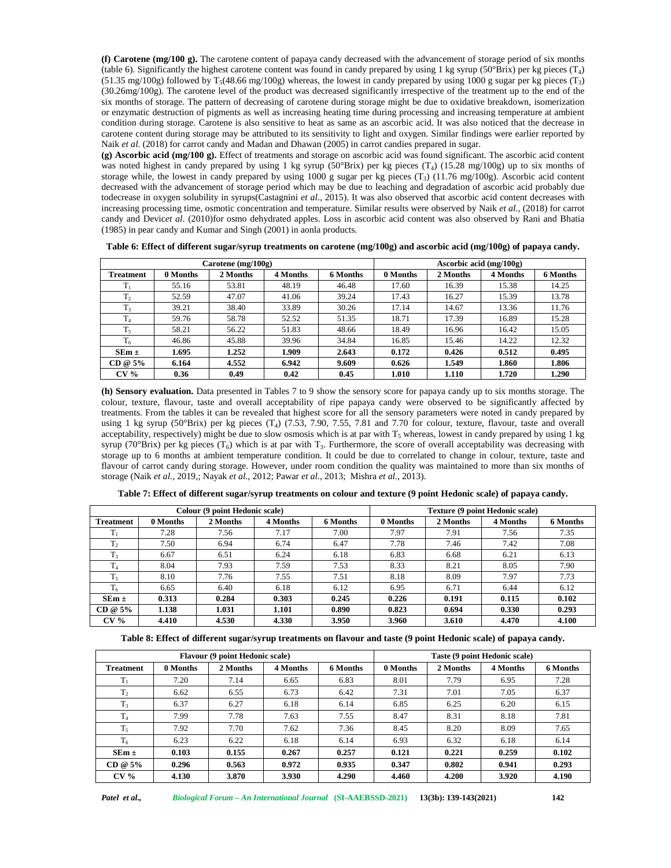**(f) Carotene (mg/100 g).** The carotene content of papaya candy decreased with the advancement of storage period of six months (table 6). Significantly the highest carotene content was found in candy prepared by using 1 kg syrup (50°Brix) per kg pieces  $(T_4)$  $(51.35 \text{ mg}/100 \text{g})$  followed by T<sub>5</sub>(48.66 mg/100g) whereas, the lowest in candy prepared by using 1000 g sugar per kg pieces (T<sub>3</sub>) (30.26mg/100g). The carotene level of the product was decreased significantly irrespective of the treatment up to the end of the six months of storage. The pattern of decreasing of carotene during storage might be due to oxidative breakdown, isomerization or enzymatic destruction of pigments as well as increasing heating time during processing and increasing temperature at ambient condition during storage. Carotene is also sensitive to heat as same as an ascorbic acid. It was also noticed that the decrease in carotene content during storage may be attributed to its sensitivity to light and oxygen. Similar findings were earlier reported by Naik *et al.* (2018) for carrot candy and Madan and Dhawan (2005) in carrot candies prepared in sugar.

**(g) Ascorbic acid (mg/100 g).** Effect of treatments and storage on ascorbic acid was found significant. The ascorbic acid content was noted highest in candy prepared by using 1 kg syrup (50°Brix) per kg pieces  $(T_4)$  (15.28 mg/100g) up to six months of storage while, the lowest in candy prepared by using 1000 g sugar per kg pieces  $(T_3)$  (11.76 mg/100g). Ascorbic acid content decreased with the advancement of storage period which may be due to leaching and degradation of ascorbic acid probably due todecrease in oxygen solubility in syrups(Castagnini *et al*., 2015). It was also observed that ascorbic acid content decreases with increasing processing time, osmotic concentration and temperature. Similar results were observed by Naik *et al.,* (2018) for carrot candy and Devic*et al*. (2010)for osmo dehydrated apples. Loss in ascorbic acid content was also observed by Rani and Bhatia (1985) in pear candy and Kumar and Singh (2001) in aonla products.

|                  |          | Carotene $(mg/100g)$ |          |          | Ascorbic acid $(mg/100g)$ |          |          |          |
|------------------|----------|----------------------|----------|----------|---------------------------|----------|----------|----------|
| <b>Treatment</b> | 0 Months | 2 Months             | 4 Months | 6 Months | 0 Months                  | 2 Months | 4 Months | 6 Months |
| $T_1$            | 55.16    | 53.81                | 48.19    | 46.48    | 17.60                     | 16.39    | 15.38    | 14.25    |
| T <sub>2</sub>   | 52.59    | 47.07                | 41.06    | 39.24    | 17.43                     | 16.27    | 15.39    | 13.78    |
| T <sub>3</sub>   | 39.21    | 38.40                | 33.89    | 30.26    | 17.14                     | 14.67    | 13.36    | 11.76    |
| T <sub>4</sub>   | 59.76    | 58.78                | 52.52    | 51.35    | 18.71                     | 17.39    | 16.89    | 15.28    |
| $T_5$            | 58.21    | 56.22                | 51.83    | 48.66    | 18.49                     | 16.96    | 16.42    | 15.05    |
| $T_6$            | 46.86    | 45.88                | 39.96    | 34.84    | 16.85                     | 15.46    | 14.22    | 12.32    |
| $SEm \pm$        | 1.695    | 1.252                | 1.909    | 2.643    | 0.172                     | 0.426    | 0.512    | 0.495    |
| $CD @ 5\%$       | 6.164    | 4.552                | 6.942    | 9.609    | 0.626                     | 1.549    | 1.860    | 1.806    |
| CV <sub>0</sub>  | 0.36     | 0.49                 | 0.42     | 0.45     | 1.010                     | 1.110    | 1.720    | 1.290    |

**Table 6: Effect of different sugar/syrup treatments on carotene (mg/100g) and ascorbic acid (mg/100g) of papaya candy.**

**(h) Sensory evaluation.** Data presented in Tables 7 to 9 show the sensory score for papaya candy up to six months storage. The colour, texture, flavour, taste and overall acceptability of ripe papaya candy were observed to be significantly affected by treatments. From the tables it can be revealed that highest score for all the sensory parameters were noted in candy prepared by using 1 kg syrup (50 $\text{Brix}$ ) per kg pieces (T<sub>4</sub>) (7.53, 7.90, 7.55, 7.81 and 7.70 for colour, texture, flavour, taste and overall acceptability, respectively) might be due to slow osmosis which is at par with  $T_5$  whereas, lowest in candy prepared by using 1 kg syrup (70 $\degree$ Brix) per kg pieces (T<sub>6</sub>) which is at par with T<sub>3</sub>. Furthermore, the score of overall acceptability was decreasing with storage up to 6 months at ambient temperature condition. It could be due to correlated to change in colour, texture, taste and flavour of carrot candy during storage. However, under room condition the quality was maintained to more than six months of storage (Naik *et al.,* 2019,; Nayak *et al.,* 2012; Pawar *et al.,* 2013; Mishra *et al.,* 2013).

|                     |          | Colour (9 point Hedonic scale) |          |                 | <b>Texture (9 point Hedonic scale)</b> |          |          |          |
|---------------------|----------|--------------------------------|----------|-----------------|----------------------------------------|----------|----------|----------|
| <b>Treatment</b>    | 0 Months | 2 Months                       | 4 Months | <b>6 Months</b> | 0 Months                               | 2 Months | 4 Months | 6 Months |
|                     | 7.28     | 7.56                           | 7.17     | 7.00            | 7.97                                   | 7.91     | 7.56     | 7.35     |
| $T_2$               | 7.50     | 6.94                           | 6.74     | 6.47            | 7.78                                   | 7.46     | 7.42     | 7.08     |
| T <sub>3</sub>      | 6.67     | 6.51                           | 6.24     | 6.18            | 6.83                                   | 6.68     | 6.21     | 6.13     |
| m<br>$\mathbf{1}_A$ | 8.04     | 7.93                           | 7.59     | 7.53            | 8.33                                   | 8.21     | 8.05     | 7.90     |
| $T_5$               | 8.10     | 7.76                           | 7.55     | 7.51            | 8.18                                   | 8.09     | 7.97     | 7.73     |
| T <sub>6</sub>      | 6.65     | 6.40                           | 6.18     | 6.12            | 6.95                                   | 6.71     | 6.44     | 6.12     |
| $SEm \pm$           | 0.313    | 0.284                          | 0.303    | 0.245           | 0.226                                  | 0.191    | 0.115    | 0.102    |
| $CD @ 5\%$          | 1.138    | 1.031                          | 1.101    | 0.890           | 0.823                                  | 0.694    | 0.330    | 0.293    |
| CV <sub>0</sub>     | 4.410    | 4.530                          | 4.330    | 3.950           | 3.960                                  | 3.610    | 4.470    | 4.100    |

**Table 7: Effect of different sugar/syrup treatments on colour and texture (9 point Hedonic scale) of papaya candy.**

**Table 8: Effect of different sugar/syrup treatments on flavour and taste (9 point Hedonic scale) of papaya candy.**

|                  |          | <b>Flavour (9 point Hedonic scale)</b> |          |          | Taste (9 point Hedonic scale) |          |          |                 |
|------------------|----------|----------------------------------------|----------|----------|-------------------------------|----------|----------|-----------------|
| <b>Treatment</b> | 0 Months | 2 Months                               | 4 Months | 6 Months | 0 Months                      | 2 Months | 4 Months | <b>6 Months</b> |
| $T_1$            | 7.20     | 7.14                                   | 6.65     | 6.83     | 8.01                          | 7.79     | 6.95     | 7.28            |
| T <sub>2</sub>   | 6.62     | 6.55                                   | 6.73     | 6.42     | 7.31                          | 7.01     | 7.05     | 6.37            |
| $T_3$            | 6.37     | 6.27                                   | 6.18     | 6.14     | 6.85                          | 6.25     | 6.20     | 6.15            |
| T <sub>4</sub>   | 7.99     | 7.78                                   | 7.63     | 7.55     | 8.47                          | 8.31     | 8.18     | 7.81            |
| $T_5$            | 7.92     | 7.70                                   | 7.62     | 7.36     | 8.45                          | 8.20     | 8.09     | 7.65            |
| $T_6$            | 6.23     | 6.22                                   | 6.18     | 6.14     | 6.93                          | 6.32     | 6.18     | 6.14            |
| $SEm \pm$        | 0.103    | 0.155                                  | 0.267    | 0.257    | 0.121                         | 0.221    | 0.259    | 0.102           |
| $CD @ 5\%$       | 0.296    | 0.563                                  | 0.972    | 0.935    | 0.347                         | 0.802    | 0.941    | 0.293           |
| CV <sub>0</sub>  | 4.130    | 3.870                                  | 3.930    | 4.290    | 4.460                         | 4.200    | 3.920    | 4.190           |